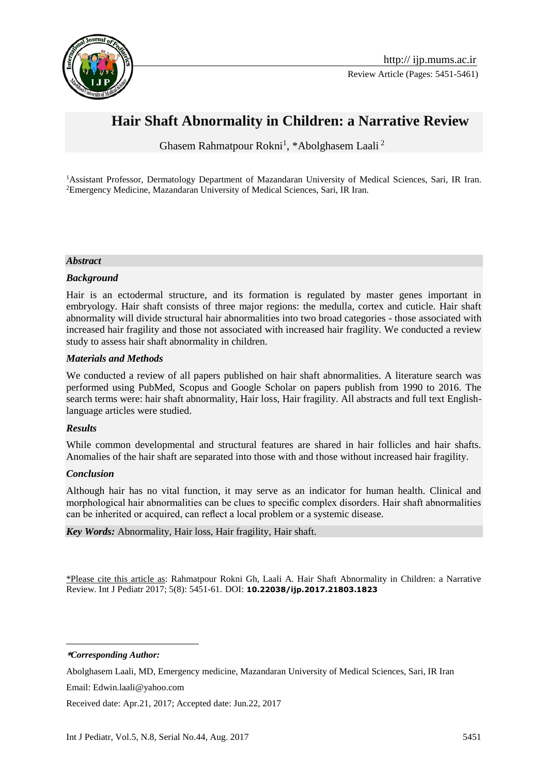

# **Hair Shaft Abnormality in Children: a Narrative Review**

Ghasem Rahmatpour Rokni<sup>1</sup>, \*Abolghasem Laali<sup>2</sup>

<sup>1</sup>Assistant Professor, Dermatology Department of Mazandaran University of Medical Sciences, Sari, IR Iran. <sup>2</sup>Emergency Medicine, Mazandaran University of Medical Sciences, Sari, IR Iran.

#### *Abstract*

#### *Background*

Hair is an ectodermal structure, and its formation is regulated by master genes important in embryology. Hair shaft consists of three major regions: the medulla, cortex and cuticle. Hair shaft abnormality will divide structural hair abnormalities into two broad categories - those associated with increased hair fragility and those not associated with increased hair fragility. We conducted a review study to assess hair shaft abnormality in children.

#### *Materials and Methods*

We conducted a review of all papers published on hair shaft abnormalities. A literature search was performed using PubMed, Scopus and Google Scholar on papers publish from 1990 to 2016. The search terms were: hair shaft abnormality, Hair loss, Hair fragility. All abstracts and full text Englishlanguage articles were studied.

#### *Results*

While common developmental and structural features are shared in hair follicles and hair shafts. Anomalies of the hair shaft are separated into those with and those without increased hair fragility.

#### *Conclusion*

Although hair has no vital function, it may serve as an indicator for human health. Clinical and morphological hair abnormalities can be clues to specific complex disorders. Hair shaft abnormalities can be inherited or acquired, can reflect a local problem or a systemic disease.

#### *Key Words:* Abnormality, Hair loss, Hair fragility, Hair shaft.

\*Please cite this article as: Rahmatpour Rokni Gh, Laali A. Hair Shaft Abnormality in Children: a Narrative Review. Int J Pediatr 2017; 5(8): 5451-61. DOI: **10.22038/ijp.2017.21803.1823**

**\****Corresponding Author:*

1

Email: Edwin.laali@yahoo.com

Received date: Apr.21, 2017; Accepted date: Jun.22, 2017

Abolghasem Laali, MD, Emergency medicine, Mazandaran University of Medical Sciences, Sari, IR Iran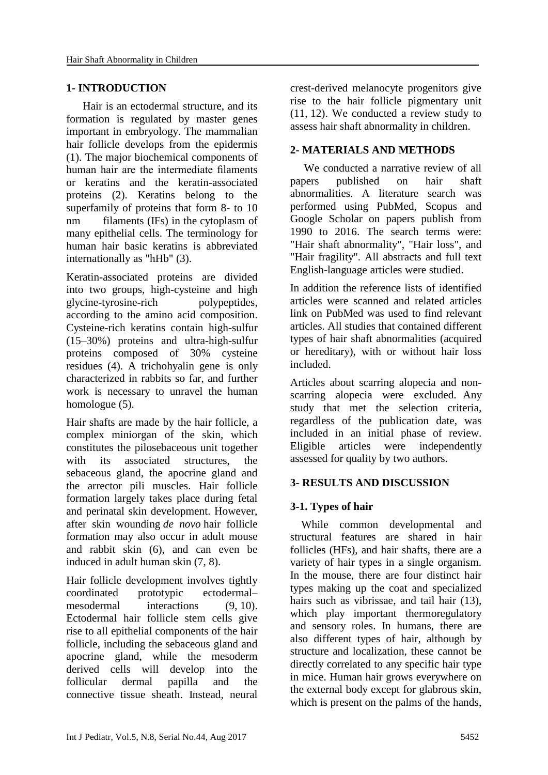#### **1- INTRODUCTION**

 Hair is an ectodermal structure, and its formation is regulated by master genes important in embryology. The mammalian hair follicle develops from the epidermis (1). The major biochemical components of human hair are the intermediate filaments or keratins and the keratin-associated proteins (2). Keratins belong to the superfamily of proteins that form 8- to 10 nm filaments (IFs) in the cytoplasm of many epithelial cells. The terminology for human hair basic keratins is abbreviated internationally as "hHb" (3).

Keratin-associated proteins are divided into two groups, high-cysteine and high glycine-tyrosine-rich polypeptides, according to the amino acid composition. Cysteine-rich keratins contain high-sulfur (15–30%) proteins and ultra-high-sulfur proteins composed of 30% cysteine residues (4). A trichohyalin gene is only characterized in rabbits so far, and further work is necessary to unravel the human homologue (5).

Hair shafts are made by the hair follicle, a complex miniorgan of the skin, which constitutes the pilosebaceous unit together with its associated structures, the sebaceous gland, the apocrine gland and the arrector pili muscles. Hair follicle formation largely takes place during fetal and perinatal skin development. However, after skin wounding *de novo* hair follicle formation may also occur in adult mouse and rabbit skin [\(6\)](javascript:void(0);), and can even be induced in adult human skin [\(7,](javascript:void(0);) [8\)](javascript:void(0);).

Hair follicle development involves tightly coordinated prototypic ectodermal– mesodermal interactions [\(9,](javascript:void(0);) [10\)](javascript:void(0);). Ectodermal hair follicle stem cells give rise to all epithelial components of the hair follicle, including the sebaceous gland and apocrine gland, while the mesoderm derived cells will develop into the follicular dermal papilla and the connective tissue sheath. Instead, neural

crest-derived melanocyte progenitors give rise to the hair follicle pigmentary unit [\(11,](javascript:void(0);) 12). We conducted a review study to assess hair shaft abnormality in children.

# **2- MATERIALS AND METHODS**

We conducted a narrative review of all papers published on hair shaft abnormalities. A literature search was performed using PubMed, Scopus and Google Scholar on papers publish from 1990 to 2016. The search terms were: "Hair shaft abnormality", "Hair loss", and "Hair fragility". All abstracts and full text English-language articles were studied.

In addition the reference lists of identified articles were scanned and related articles link on PubMed was used to find relevant articles. All studies that contained different types of hair shaft abnormalities (acquired or hereditary), with or without hair loss included.

Articles about scarring alopecia and nonscarring alopecia were excluded. Any study that met the selection criteria, regardless of the publication date, was included in an initial phase of review. Eligible articles were independently assessed for quality by two authors.

# **3- RESULTS AND DISCUSSION**

# **3-1. Types of hair**

 While common developmental and structural features are shared in hair follicles (HFs), and hair shafts, there are a variety of hair types in a single organism. In the mouse, there are four distinct hair types making up the coat and specialized hairs such as vibrissae, and tail hair  $(13)$ , which play important thermoregulatory and sensory roles. In humans, there are also different types of hair, although by structure and localization, these cannot be directly correlated to any specific hair type in mice. Human hair grows everywhere on the external body except for glabrous skin, which is present on the palms of the hands,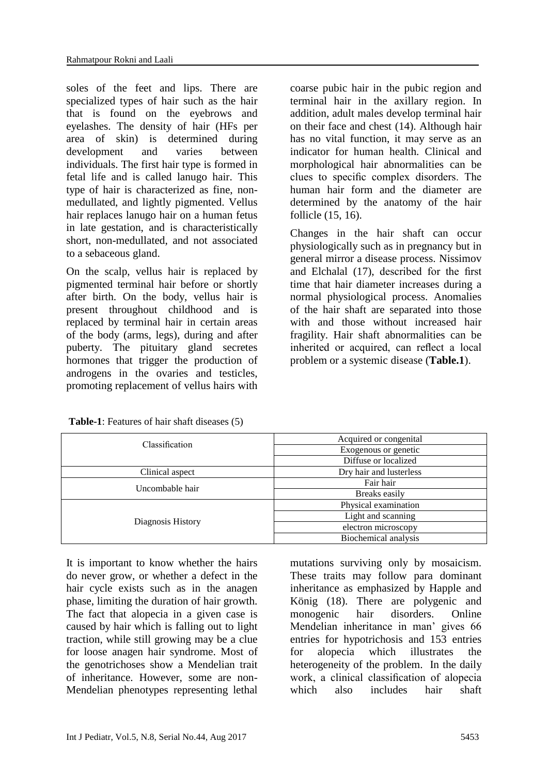soles of the feet and lips. There are specialized types of hair such as the hair that is found on the eyebrows and eyelashes. The density of hair (HFs per area of skin) is determined during development and varies between individuals. The first hair type is formed in fetal life and is called lanugo hair. This type of hair is characterized as fine, nonmedullated, and lightly pigmented. Vellus hair replaces lanugo hair on a human fetus in late gestation, and is characteristically short, non-medullated, and not associated to a sebaceous gland.

On the scalp, vellus hair is replaced by pigmented terminal hair before or shortly after birth. On the body, vellus hair is present throughout childhood and is replaced by terminal hair in certain areas of the body (arms, legs), during and after puberty. The pituitary gland secretes hormones that trigger the production of androgens in the ovaries and testicles, promoting replacement of vellus hairs with coarse pubic hair in the pubic region and terminal hair in the axillary region. In addition, adult males develop terminal hair on their face and chest (14). Although hair has no vital function, it may serve as an indicator for human health. Clinical and morphological hair abnormalities can be clues to specific complex disorders. The human hair form and the diameter are determined by the anatomy of the hair follicle (15, 16).

Changes in the hair shaft can occur physiologically such as in pregnancy but in general mirror a disease process. Nissimov and Elchalal (17), described for the first time that hair diameter increases during a normal physiological process. Anomalies of the hair shaft are separated into those with and those without increased hair fragility. Hair shaft abnormalities can be inherited or acquired, can reflect a local problem or a systemic disease (**Table.1**).

| Classification    | Acquired or congenital  |
|-------------------|-------------------------|
|                   | Exogenous or genetic    |
|                   | Diffuse or localized    |
| Clinical aspect   | Dry hair and lusterless |
| Uncombable hair   | Fair hair               |
|                   | Breaks easily           |
| Diagnosis History | Physical examination    |
|                   | Light and scanning      |
|                   | electron microscopy     |
|                   | Biochemical analysis    |

**Table-1**: Features of hair shaft diseases (5)

It is important to know whether the hairs do never grow, or whether a defect in the hair cycle exists such as in the anagen phase, limiting the duration of hair growth. The fact that alopecia in a given case is caused by hair which is falling out to light traction, while still growing may be a clue for loose anagen hair syndrome. Most of the genotrichoses show a Mendelian trait of inheritance. However, some are non-Mendelian phenotypes representing lethal mutations surviving only by mosaicism. These traits may follow para dominant inheritance as emphasized by Happle and König (18). There are polygenic and monogenic hair disorders. Online Mendelian inheritance in man' gives 66 entries for hypotrichosis and 153 entries for alopecia which illustrates the heterogeneity of the problem. In the daily work, a clinical classification of alopecia which also includes hair shaft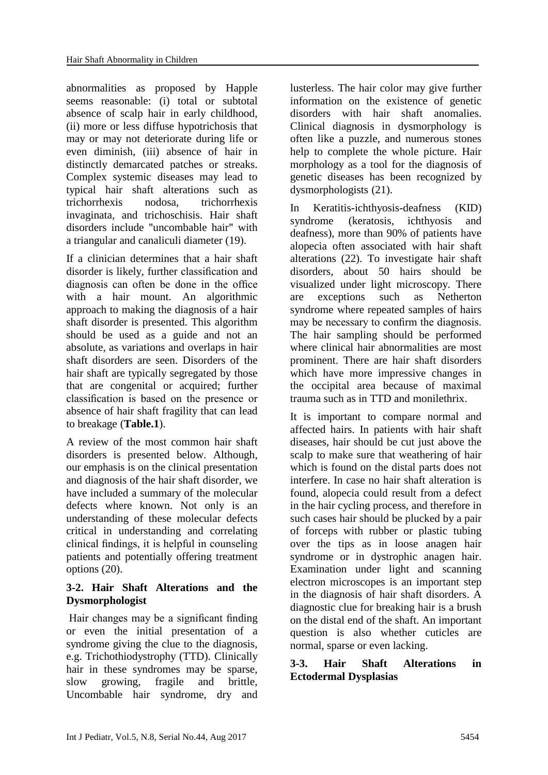abnormalities as proposed by Happle seems reasonable: (i) total or subtotal absence of scalp hair in early childhood, (ii) more or less diffuse hypotrichosis that may or may not deteriorate during life or even diminish, (iii) absence of hair in distinctly demarcated patches or streaks. Complex systemic diseases may lead to typical hair shaft alterations such as trichorrhexis nodosa, trichorrhexis invaginata, and trichoschisis. Hair shaft disorders include "uncombable hair" with a triangular and canaliculi diameter (19).

If a clinician determines that a hair shaft disorder is likely, further classification and diagnosis can often be done in the office with a hair mount. An algorithmic approach to making the diagnosis of a hair shaft disorder is presented. This algorithm should be used as a guide and not an absolute, as variations and overlaps in hair shaft disorders are seen. Disorders of the hair shaft are typically segregated by those that are congenital or acquired; further classification is based on the presence or absence of hair shaft fragility that can lead to breakage (**Table.1**).

A review of the most common hair shaft disorders is presented below. Although, our emphasis is on the clinical presentation and diagnosis of the hair shaft disorder, we have included a summary of the molecular defects where known. Not only is an understanding of these molecular defects critical in understanding and correlating clinical findings, it is helpful in counseling patients and potentially offering treatment options (20).

# **3-2. Hair Shaft Alterations and the Dysmorphologist**

Hair changes may be a significant finding or even the initial presentation of a syndrome giving the clue to the diagnosis, e.g. Trichothiodystrophy (TTD). Clinically hair in these syndromes may be sparse, slow growing, fragile and brittle, Uncombable hair syndrome, dry and

lusterless. The hair color may give further information on the existence of genetic disorders with hair shaft anomalies. Clinical diagnosis in dysmorphology is often like a puzzle, and numerous stones help to complete the whole picture. Hair morphology as a tool for the diagnosis of genetic diseases has been recognized by dysmorphologists (21).

In Keratitis-ichthyosis-deafness (KID) syndrome (keratosis, ichthyosis and deafness), more than 90% of patients have alopecia often associated with hair shaft alterations (22). To investigate hair shaft disorders, about 50 hairs should be visualized under light microscopy. There are exceptions such as Netherton syndrome where repeated samples of hairs may be necessary to confirm the diagnosis. The hair sampling should be performed where clinical hair abnormalities are most prominent. There are hair shaft disorders which have more impressive changes in the occipital area because of maximal trauma such as in TTD and monilethrix.

It is important to compare normal and affected hairs. In patients with hair shaft diseases, hair should be cut just above the scalp to make sure that weathering of hair which is found on the distal parts does not interfere. In case no hair shaft alteration is found, alopecia could result from a defect in the hair cycling process, and therefore in such cases hair should be plucked by a pair of forceps with rubber or plastic tubing over the tips as in loose anagen hair syndrome or in dystrophic anagen hair. Examination under light and scanning electron microscopes is an important step in the diagnosis of hair shaft disorders. A diagnostic clue for breaking hair is a brush on the distal end of the shaft. An important question is also whether cuticles are normal, sparse or even lacking.

# **3-3. Hair Shaft Alterations in Ectodermal Dysplasias**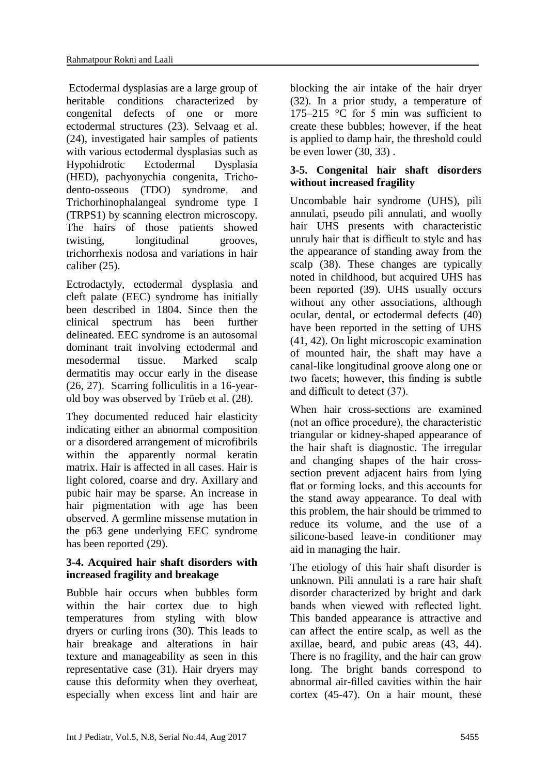Ectodermal dysplasias are a large group of heritable conditions characterized by congenital defects of one or more ectodermal structures (23). Selvaag et al. (24), investigated hair samples of patients with various ectodermal dysplasias such as Hypohidrotic Ectodermal Dysplasia (HED), pachyonychia congenita, Trichodento-osseous (TDO) syndrome, and Trichorhinophalangeal syndrome type I (TRPS1) by scanning electron microscopy. The hairs of those patients showed twisting, longitudinal grooves, trichorrhexis nodosa and variations in hair caliber (25).

Ectrodactyly, ectodermal dysplasia and cleft palate (EEC) syndrome has initially been described in 1804. Since then the clinical spectrum has been further delineated. EEC syndrome is an autosomal dominant trait involving ectodermal and mesodermal tissue. Marked scalp dermatitis may occur early in the disease (26, 27). Scarring folliculitis in a 16-yearold boy was observed by Trüeb et al. (28).

They documented reduced hair elasticity indicating either an abnormal composition or a disordered arrangement of microfibrils within the apparently normal keratin matrix. Hair is affected in all cases. Hair is light colored, coarse and dry. Axillary and pubic hair may be sparse. An increase in hair pigmentation with age has been observed. A germline missense mutation in the p63 gene underlying EEC syndrome has been reported (29).

# **3-4. Acquired hair shaft disorders with increased fragility and breakage**

Bubble hair occurs when bubbles form within the hair cortex due to high temperatures from styling with blow dryers or curling irons (30). This leads to hair breakage and alterations in hair texture and manageability as seen in this representative case (31). Hair dryers may cause this deformity when they overheat, especially when excess lint and hair are blocking the air intake of the hair dryer (32). In a prior study, a temperature of 175–215 °C for 5 min was sufficient to create these bubbles; however, if the heat is applied to damp hair, the threshold could be even lower (30, 33) .

# **3-5. Congenital hair shaft disorders without increased fragility**

Uncombable hair syndrome (UHS), pili annulati, pseudo pili annulati, and woolly hair UHS presents with characteristic unruly hair that is difficult to style and has the appearance of standing away from the scalp (38). These changes are typically noted in childhood, but acquired UHS has been reported (39). UHS usually occurs without any other associations, although ocular, dental, or ectodermal defects (40) have been reported in the setting of UHS (41, 42). On light microscopic examination of mounted hair, the shaft may have a canal-like longitudinal groove along one or two facets; however, this finding is subtle and difficult to detect (37).

When hair cross-sections are examined (not an office procedure), the characteristic triangular or kidney-shaped appearance of the hair shaft is diagnostic. The irregular and changing shapes of the hair crosssection prevent adjacent hairs from lying flat or forming locks, and this accounts for the stand away appearance. To deal with this problem, the hair should be trimmed to reduce its volume, and the use of a silicone-based leave-in conditioner may aid in managing the hair.

The etiology of this hair shaft disorder is unknown. Pili annulati is a rare hair shaft disorder characterized by bright and dark bands when viewed with reflected light. This banded appearance is attractive and can affect the entire scalp, as well as the axillae, beard, and pubic areas (43, 44). There is no fragility, and the hair can grow long. The bright bands correspond to abnormal air-filled cavities within the hair cortex (45-47). On a hair mount, these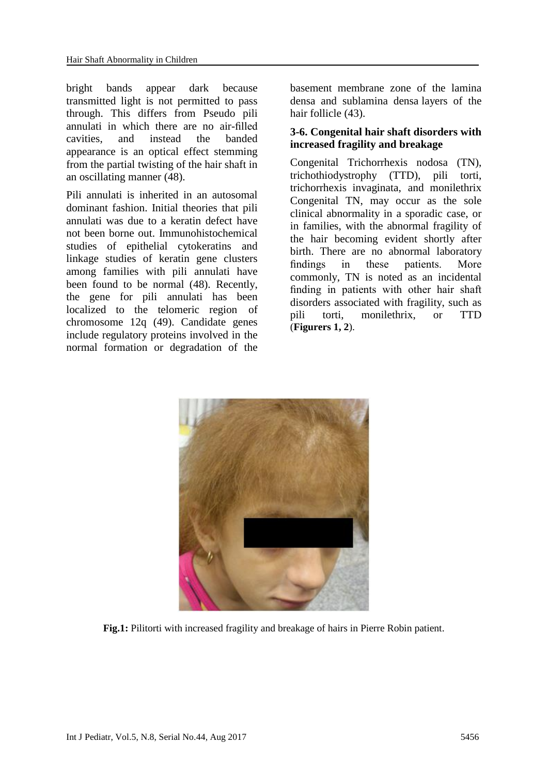bright bands appear dark because transmitted light is not permitted to pass through. This differs from Pseudo pili annulati in which there are no air-filled cavities, and instead the banded appearance is an optical effect stemming from the partial twisting of the hair shaft in an oscillating manner (48).

Pili annulati is inherited in an autosomal dominant fashion. Initial theories that pili annulati was due to a keratin defect have not been borne out. Immunohistochemical studies of epithelial cytokeratins and linkage studies of keratin gene clusters among families with pili annulati have been found to be normal (48). Recently, the gene for pili annulati has been localized to the telomeric region of chromosome 12q (49). Candidate genes include regulatory proteins involved in the normal formation or degradation of the

basement membrane zone of the lamina densa and sublamina densa layers of the hair follicle (43).

### **3-6. Congenital hair shaft disorders with increased fragility and breakage**

Congenital Trichorrhexis nodosa (TN), trichothiodystrophy (TTD), pili torti, trichorrhexis invaginata, and monilethrix Congenital TN, may occur as the sole clinical abnormality in a sporadic case, or in families, with the abnormal fragility of the hair becoming evident shortly after birth. There are no abnormal laboratory findings in these patients. More commonly, TN is noted as an incidental finding in patients with other hair shaft disorders associated with fragility, such as pili torti, monilethrix, or TTD (**Figurers 1, 2**).



**Fig.1:** Pilitorti with increased fragility and breakage of hairs in Pierre Robin patient.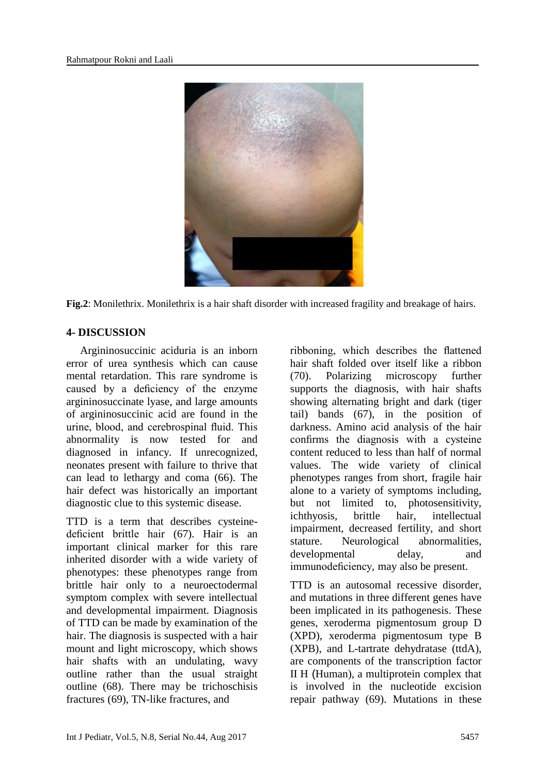

**Fig.2**: Monilethrix. Monilethrix is a hair shaft disorder with increased fragility and breakage of hairs.

#### **4- DISCUSSION**

 Argininosuccinic aciduria is an inborn error of urea synthesis which can cause mental retardation. This rare syndrome is caused by a deficiency of the enzyme argininosuccinate lyase, and large amounts of argininosuccinic acid are found in the urine, blood, and cerebrospinal fluid. This abnormality is now tested for and diagnosed in infancy. If unrecognized, neonates present with failure to thrive that can lead to lethargy and coma (66). The hair defect was historically an important diagnostic clue to this systemic disease.

TTD is a term that describes cysteinedeficient brittle hair (67). Hair is an important clinical marker for this rare inherited disorder with a wide variety of phenotypes: these phenotypes range from brittle hair only to a neuroectodermal symptom complex with severe intellectual and developmental impairment. Diagnosis of TTD can be made by examination of the hair. The diagnosis is suspected with a hair mount and light microscopy, which shows hair shafts with an undulating, wavy outline rather than the usual straight outline (68). There may be trichoschisis fractures (69), TN-like fractures, and

ribboning, which describes the flattened hair shaft folded over itself like a ribbon (70). Polarizing microscopy further supports the diagnosis, with hair shafts showing alternating bright and dark (tiger tail) bands (67), in the position of darkness. Amino acid analysis of the hair confirms the diagnosis with a cysteine content reduced to less than half of normal values. The wide variety of clinical phenotypes ranges from short, fragile hair alone to a variety of symptoms including, but not limited to, photosensitivity, ichthyosis, brittle hair, intellectual impairment, decreased fertility, and short stature. Neurological abnormalities, developmental delay, and immunodeficiency, may also be present.

TTD is an autosomal recessive disorder, and mutations in three different genes have been implicated in its pathogenesis. These genes, xeroderma [pigmentosum](http://genesdev.cshlp.org/content/15/1/15.full) group D (XPD), xeroderma pigmentosum type B (XPB), and L-tartrate [dehydratase](http://www.search.ask.com/web?apn_dtid=%5EBND533%5EYY%5EIR&apn_ptnrs=%5EAG5&atb=sysid%3D533%3Aappid%3D124%3Auid%3D24256d1bdc0c3ba7%3Auc2%3D622%3Atypekbn%3D1.1%3Asrc%3Dds%3Ao%3DAPN10644%3Atg%3D&d=533-124&gct=ds&o=APN10644&p2=%5EAG5%5EBND533%5EYY%5EIR&page=1&q=Identification+of+the+L-tartrate+dehydratase+genes&tpr=5&ots=1497721719931) (ttdA), are components of the transcription factor II H (Human), a multiprotein complex that is involved in the nucleotide excision repair pathway (69). Mutations in these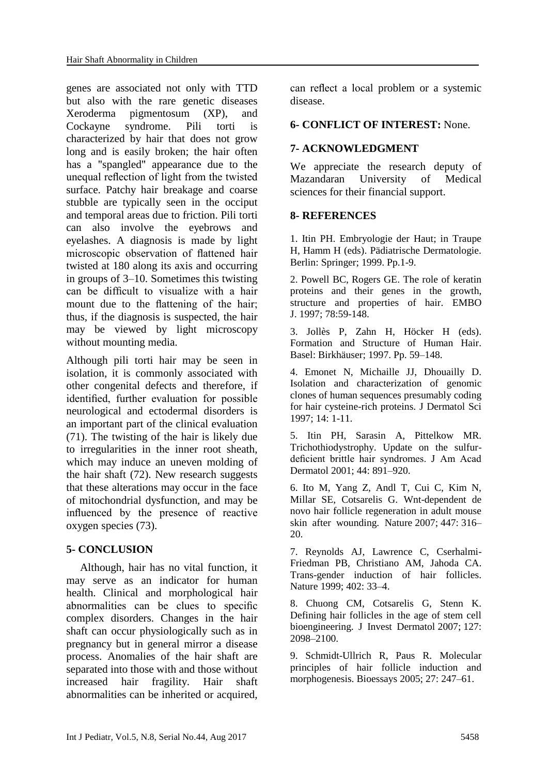genes are associated not only with TTD but also with the rare genetic diseases Xeroderma pigmentosum (XP), and Cockayne syndrome. Pili torti is characterized by hair that does not grow long and is easily broken; the hair often has a "spangled" appearance due to the unequal reflection of light from the twisted surface. Patchy hair breakage and coarse stubble are typically seen in the occiput and temporal areas due to friction. Pili torti can also involve the eyebrows and eyelashes. A diagnosis is made by light microscopic observation of flattened hair twisted at 180 along its axis and occurring in groups of 3–10. Sometimes this twisting can be difficult to visualize with a hair mount due to the flattening of the hair; thus, if the diagnosis is suspected, the hair may be viewed by light microscopy without mounting media.

Although pili torti hair may be seen in isolation, it is commonly associated with other congenital defects and therefore, if identified, further evaluation for possible neurological and ectodermal disorders is an important part of the clinical evaluation (71). The twisting of the hair is likely due to irregularities in the inner root sheath, which may induce an uneven molding of the hair shaft (72). New research suggests that these alterations may occur in the face of mitochondrial dysfunction, and may be influenced by the presence of reactive oxygen species (73).

# **5- CONCLUSION**

 Although, hair has no vital function, it may serve as an indicator for human health. Clinical and morphological hair abnormalities can be clues to specific complex disorders. Changes in the hair shaft can occur physiologically such as in pregnancy but in general mirror a disease process. Anomalies of the hair shaft are separated into those with and those without increased hair fragility. Hair shaft abnormalities can be inherited or acquired,

can reflect a local problem or a systemic disease.

#### **6- CONFLICT OF INTEREST:** None.

### **7- ACKNOWLEDGMENT**

We appreciate the research deputy of Mazandaran University of Medical sciences for their financial support.

### **8- REFERENCES**

1. Itin PH. Embryologie der Haut; in Traupe H, Hamm H (eds). Pädiatrische Dermatologie. Berlin: Springer; 1999. Pp.1-9.

2. Powell BC, Rogers GE. The role of keratin proteins and their genes in the growth, structure and properties of hair. EMBO J. 1997; 78:59-148.

3. Jollès P, Zahn H, Höcker H (eds). Formation and Structure of Human Hair. Basel: Birkhäuser; 1997. Pp. 59–148.

4. Emonet N, Michaille JJ, Dhouailly D. Isolation and characterization of genomic clones of human sequences presumably coding for hair cysteine-rich proteins. J Dermatol Sci 1997; 14: 1-11.

5. Itin PH, Sarasin A, Pittelkow MR. Trichothiodystrophy. Update on the sulfurdeficient brittle hair syndromes. J Am Acad Dermatol 2001; 44: 891–920.

6. Ito M, Yang Z, Andl T, Cui C, Kim N, Millar SE, Cotsarelis G. Wnt-dependent de novo hair follicle regeneration in adult mouse skin after wounding. Nature 2007; 447: 316– 20.

7. Reynolds AJ, Lawrence C, Cserhalmi-Friedman PB, Christiano AM, Jahoda CA. Trans-gender induction of hair follicles. Nature 1999; 402: 33–4.

8. Chuong CM, Cotsarelis G, Stenn K. Defining hair follicles in the age of stem cell bioengineering. J Invest Dermatol 2007; 127: 2098–2100.

9. Schmidt-Ullrich R, Paus R. Molecular principles of hair follicle induction and morphogenesis. Bioessays 2005; 27: 247–61.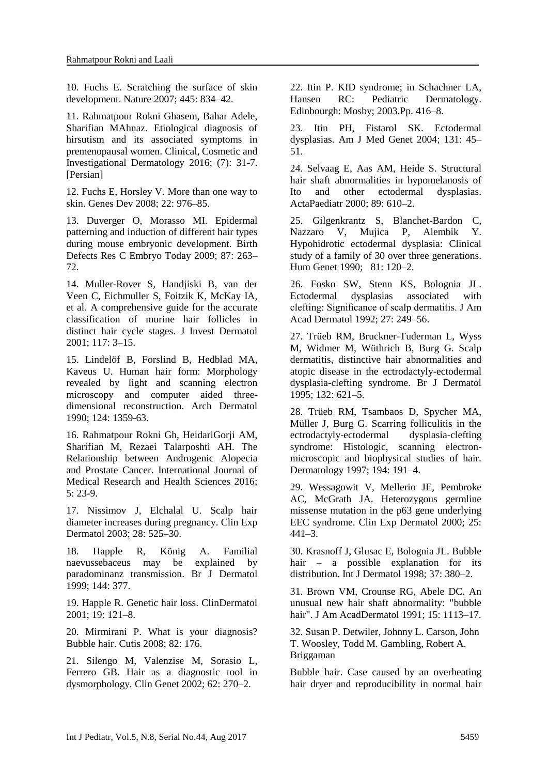10. Fuchs E. Scratching the surface of skin development. Nature 2007; 445: 834–42.

11. Rahmatpour Rokni Ghasem, Bahar Adele, Sharifian MAhnaz. Etiological diagnosis of hirsutism and its associated symptoms in premenopausal women. Clinical, Cosmetic and Investigational Dermatology 2016; (7): 31-7. [Persian]

12. Fuchs E, Horsley V. More than one way to skin. Genes Dev 2008; 22: 976–85.

13. Duverger O, Morasso MI. Epidermal patterning and induction of different hair types during mouse embryonic development. Birth Defects Res C Embryo Today 2009; 87: 263– 72.

14. Muller-Rover S, Handjiski B, van der Veen C, Eichmuller S, Foitzik K, McKay IA, et al. A comprehensive guide for the accurate classification of murine hair follicles in distinct hair cycle stages. J Invest Dermatol 2001; 117: 3–15.

15. Lindelöf B, Forslind B, Hedblad MA, Kaveus U. Human hair form: Morphology revealed by light and scanning electron microscopy and computer aided threedimensional reconstruction. Arch Dermatol 1990; 124: 1359-63.

16. Rahmatpour Rokni Gh, HeidariGorji AM, Sharifian M, Rezaei Talarposhti AH. The Relationship between Androgenic Alopecia and Prostate Cancer. International Journal of Medical Research and Health Sciences 2016; 5: 23-9.

17. Nissimov J, Elchalal U. Scalp hair diameter increases during pregnancy. Clin Exp Dermatol 2003; 28: 525–30.

18. Happle R, König A. Familial naevussebaceus may be explained by paradominanz transmission. Br J Dermatol 1999; 144: 377.

19. Happle R. Genetic hair loss. ClinDermatol 2001; 19: 121–8.

20. Mirmirani P. What is your diagnosis? Bubble hair. Cutis 2008; 82: 176.

21. Silengo M, Valenzise M, Sorasio L, Ferrero GB. Hair as a diagnostic tool in dysmorphology. Clin Genet 2002; 62: 270–2.

22. Itin P. KID syndrome; in Schachner LA, Hansen RC: Pediatric Dermatology. Edinbourgh: Mosby; 2003.Pp. 416–8.

23. Itin PH, Fistarol SK. Ectodermal dysplasias. Am J Med Genet 2004; 131: 45– 51.

24. Selvaag E, Aas AM, Heide S. Structural hair shaft abnormalities in hypomelanosis of Ito and other ectodermal dysplasias. ActaPaediatr 2000; 89: 610–2.

25. Gilgenkrantz S, Blanchet-Bardon C, Nazzaro V, Mujica P, Alembik Y. Hypohidrotic ectodermal dysplasia: Clinical study of a family of 30 over three generations. Hum Genet 1990; 81: 120–2.

26. Fosko SW, Stenn KS, Bolognia JL. Ectodermal dysplasias associated with clefting: Significance of scalp dermatitis. J Am Acad Dermatol 1992; 27: 249–56.

27. Trüeb RM, Bruckner-Tuderman L, Wyss M, Widmer M, Wüthrich B, Burg G. Scalp dermatitis, distinctive hair abnormalities and atopic disease in the ectrodactyly-ectodermal dysplasia-clefting syndrome. Br J Dermatol 1995; 132: 621–5.

28. Trüeb RM, Tsambaos D, Spycher MA, Müller J, Burg G. Scarring folliculitis in the ectrodactyly-ectodermal dysplasia-clefting syndrome: Histologic, scanning electronmicroscopic and biophysical studies of hair. Dermatology 1997; 194: 191–4.

29. Wessagowit V, Mellerio JE, Pembroke AC, McGrath JA. Heterozygous germline missense mutation in the p63 gene underlying EEC syndrome. Clin Exp Dermatol 2000; 25:  $441 - 3$ .

30. Krasnoff J, Glusac E, Bolognia JL. Bubble hair – a possible explanation for its distribution. Int J Dermatol 1998; 37: 380–2.

31. Brown VM, Crounse RG, Abele DC. An unusual new hair shaft abnormality: "bubble hair". J Am AcadDermatol 1991; 15: 1113–17.

32. [Susan P. Detwiler, Johnny L. Carson, John](javascript:void(0);)  [T. Woosley, Todd M. Gambling, Robert A.](javascript:void(0);)  [Briggaman](javascript:void(0);)

Bubble hair. Case caused by an overheating hair dryer and reproducibility in normal hair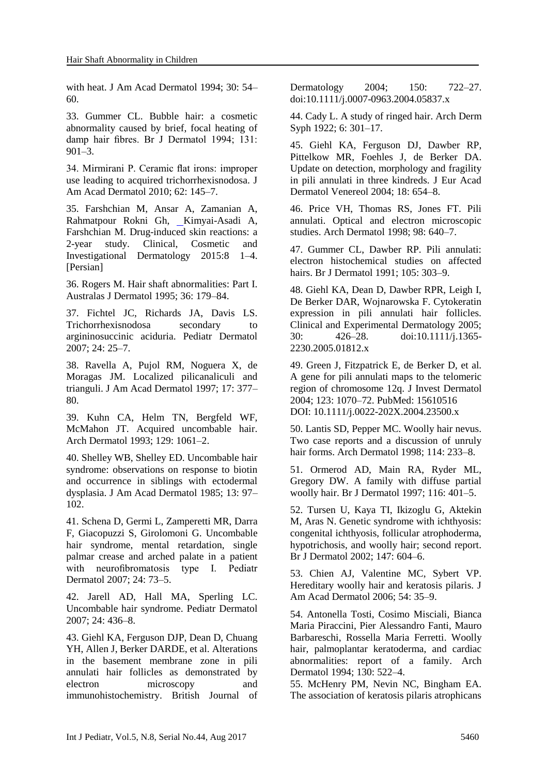with heat. J Am Acad Dermatol 1994; 30: 54– 60.

33. Gummer CL. Bubble hair: a cosmetic abnormality caused by brief, focal heating of damp hair fibres. Br J Dermatol 1994; 131: 901–3.

34. Mirmirani P. Ceramic flat irons: improper use leading to acquired trichorrhexisnodosa. J Am Acad Dermatol 2010; 62: 145–7.

35. Farshchian M, Ansar A, Zamanian A, Rahmatpour Rokni Gh, [Kimyai-Asadi](https://www.ncbi.nlm.nih.gov/pubmed/?term=Kimyai-Asadi%20A%5BAuthor%5D&cauthor=true&cauthor_uid=25709487) A, Farshchian M. Drug-induced skin reactions: a 2-year study. Clinical, Cosmetic and Investigational Dermatology 2015:8 1–4. [Persian]

36. Rogers M. Hair shaft abnormalities: Part I. Australas J Dermatol 1995; 36: 179–84.

37. Fichtel JC, Richards JA, Davis LS. Trichorrhexisnodosa secondary to argininosuccinic aciduria. Pediatr Dermatol 2007; 24: 25–7.

38. Ravella A, Pujol RM, Noguera X, de Moragas JM. Localized pilicanaliculi and trianguli. J Am Acad Dermatol 1997; 17: 377– 80.

39. Kuhn CA, Helm TN, Bergfeld WF, McMahon JT. Acquired uncombable hair. Arch Dermatol 1993; 129: 1061–2.

40. Shelley WB, Shelley ED. Uncombable hair syndrome: observations on response to biotin and occurrence in siblings with ectodermal dysplasia. J Am Acad Dermatol 1985; 13: 97– 102.

41. [Schena D,](https://www.ncbi.nlm.nih.gov/pubmed/?term=Schena%20D%5BAuthor%5D&cauthor=true&cauthor_uid=17958786) [Germi L,](https://www.ncbi.nlm.nih.gov/pubmed/?term=Germi%20L%5BAuthor%5D&cauthor=true&cauthor_uid=17958786) [Zamperetti MR,](https://www.ncbi.nlm.nih.gov/pubmed/?term=Zamperetti%20MR%5BAuthor%5D&cauthor=true&cauthor_uid=17958786) [Darra](https://www.ncbi.nlm.nih.gov/pubmed/?term=Darra%20F%5BAuthor%5D&cauthor=true&cauthor_uid=17958786)  [F,](https://www.ncbi.nlm.nih.gov/pubmed/?term=Darra%20F%5BAuthor%5D&cauthor=true&cauthor_uid=17958786) [Giacopuzzi S,](https://www.ncbi.nlm.nih.gov/pubmed/?term=Giacopuzzi%20S%5BAuthor%5D&cauthor=true&cauthor_uid=17958786) [Girolomoni G.](https://www.ncbi.nlm.nih.gov/pubmed/?term=Girolomoni%20G%5BAuthor%5D&cauthor=true&cauthor_uid=17958786) Uncombable hair syndrome, mental retardation, single palmar crease and arched palate in a patient with neurofibromatosis type I. Pediatr Dermatol 2007; 24: 73–5.

42. Jarell AD, Hall MA, Sperling LC. Uncombable hair syndrome. Pediatr Dermatol 2007; 24: 436–8.

43. Giehl KA, Ferguson DJP, Dean D, Chuang YH, Allen J, Berker DARDE, et al. Alterations in the basement membrane zone in pili annulati hair follicles as demonstrated by electron microscopy and immunohistochemistry. British Journal of Dermatology 2004; 150: 722–27. doi:10.1111/j.0007-0963.2004.05837.x

44. Cady L. A study of ringed hair. Arch Derm Syph 1922; 6: 301–17.

45. [Giehl KA,](https://www.ncbi.nlm.nih.gov/pubmed/?term=Giehl%20KA%5BAuthor%5D&cauthor=true&cauthor_uid=15482289) [Ferguson DJ,](https://www.ncbi.nlm.nih.gov/pubmed/?term=Ferguson%20DJ%5BAuthor%5D&cauthor=true&cauthor_uid=15482289) [Dawber RP,](https://www.ncbi.nlm.nih.gov/pubmed/?term=Dawber%20RP%5BAuthor%5D&cauthor=true&cauthor_uid=15482289) [Pittelkow MR,](https://www.ncbi.nlm.nih.gov/pubmed/?term=Pittelkow%20MR%5BAuthor%5D&cauthor=true&cauthor_uid=15482289) [Foehles J,](https://www.ncbi.nlm.nih.gov/pubmed/?term=Foehles%20J%5BAuthor%5D&cauthor=true&cauthor_uid=15482289) [de Berker DA.](https://www.ncbi.nlm.nih.gov/pubmed/?term=de%20Berker%20DA%5BAuthor%5D&cauthor=true&cauthor_uid=15482289) Update on detection, morphology and fragility in pili annulati in three kindreds. J Eur Acad Dermatol Venereol 2004; 18: 654–8.

46. Price VH, Thomas RS, Jones FT. Pili annulati. Optical and electron microscopic studies. Arch Dermatol 1998; 98: 640–7.

47. Gummer CL, Dawber RP. Pili annulati: electron histochemical studies on affected hairs. Br J Dermatol 1991; 105: 303–9.

48. Giehl KA, Dean D, Dawber RPR, Leigh I, De Berker DAR, Wojnarowska F. Cytokeratin expression in pili annulati hair follicles. Clinical and Experimental Dermatology 2005; 30: 426–28. doi:10.1111/j.1365- 2230.2005.01812.x

49. Green J, Fitzpatrick E, de Berker D, et al. A gene for pili annulati maps to the telomeric region of chromosome 12q. J Invest Dermatol 2004; 123: 1070–72. PubMed[: 15610516](http://www.ncbi.nlm.nih.gov/pubmed/15610516/) DOI: [10.1111/j.0022-202X.2004.23500.x](http://dx.doi.org/10.1111/j.0022-202x.2004.23500.x) 

50. Lantis SD, Pepper MC. Woolly hair nevus. Two case reports and a discussion of unruly hair forms. Arch Dermatol 1998; 114: 233–8.

51. Ormerod AD, Main RA, Ryder ML, Gregory DW. A family with diffuse partial woolly hair. Br J Dermatol 1997; 116: 401–5.

52. [Tursen U,](https://www.ncbi.nlm.nih.gov/pubmed/?term=Tursen%20U%5BAuthor%5D&cauthor=true&cauthor_uid=12207612) [Kaya TI,](https://www.ncbi.nlm.nih.gov/pubmed/?term=Kaya%20TI%5BAuthor%5D&cauthor=true&cauthor_uid=12207612) [Ikizoglu G,](https://www.ncbi.nlm.nih.gov/pubmed/?term=Ikizoglu%20G%5BAuthor%5D&cauthor=true&cauthor_uid=12207612) [Aktekin](https://www.ncbi.nlm.nih.gov/pubmed/?term=Aktekin%20M%5BAuthor%5D&cauthor=true&cauthor_uid=12207612)  [M,](https://www.ncbi.nlm.nih.gov/pubmed/?term=Aktekin%20M%5BAuthor%5D&cauthor=true&cauthor_uid=12207612) [Aras N.](https://www.ncbi.nlm.nih.gov/pubmed/?term=Aras%20N%5BAuthor%5D&cauthor=true&cauthor_uid=12207612) Genetic syndrome with ichthyosis: congenital ichthyosis, follicular atrophoderma, hypotrichosis, and woolly hair; second report. Br J Dermatol 2002; 147: 604–6.

53. Chien AJ, Valentine MC, Sybert VP. Hereditary woolly hair and keratosis pilaris. J Am Acad Dermatol 2006; 54: 35–9.

54. [Antonella Tosti,](http://jamanetwork.com/searchresults?author=Antonella+Tosti&q=Antonella+Tosti) [Cosimo Misciali,](http://jamanetwork.com/searchresults?author=Cosimo+Misciali&q=Cosimo+Misciali) [Bianca](http://jamanetwork.com/searchresults?author=Bianca+Maria+Piraccini&q=Bianca+Maria+Piraccini)  [Maria Piraccini,](http://jamanetwork.com/searchresults?author=Bianca+Maria+Piraccini&q=Bianca+Maria+Piraccini) [Pier Alessandro Fanti,](http://jamanetwork.com/searchresults?author=Pier+Alessandro+Fanti&q=Pier+Alessandro+Fanti) [Mauro](http://jamanetwork.com/searchresults?author=Mauro+Barbareschi&q=Mauro+Barbareschi)  [Barbareschi,](http://jamanetwork.com/searchresults?author=Mauro+Barbareschi&q=Mauro+Barbareschi) [Rossella Maria Ferretti.](http://jamanetwork.com/searchresults?author=Rossella+Maria+Ferretti&q=Rossella+Maria+Ferretti) Woolly hair, palmoplantar keratoderma, and cardiac abnormalities: report of a family. Arch Dermatol 1994; 130: 522–4.

55. McHenry PM, Nevin NC, Bingham EA. The association of keratosis pilaris atrophicans